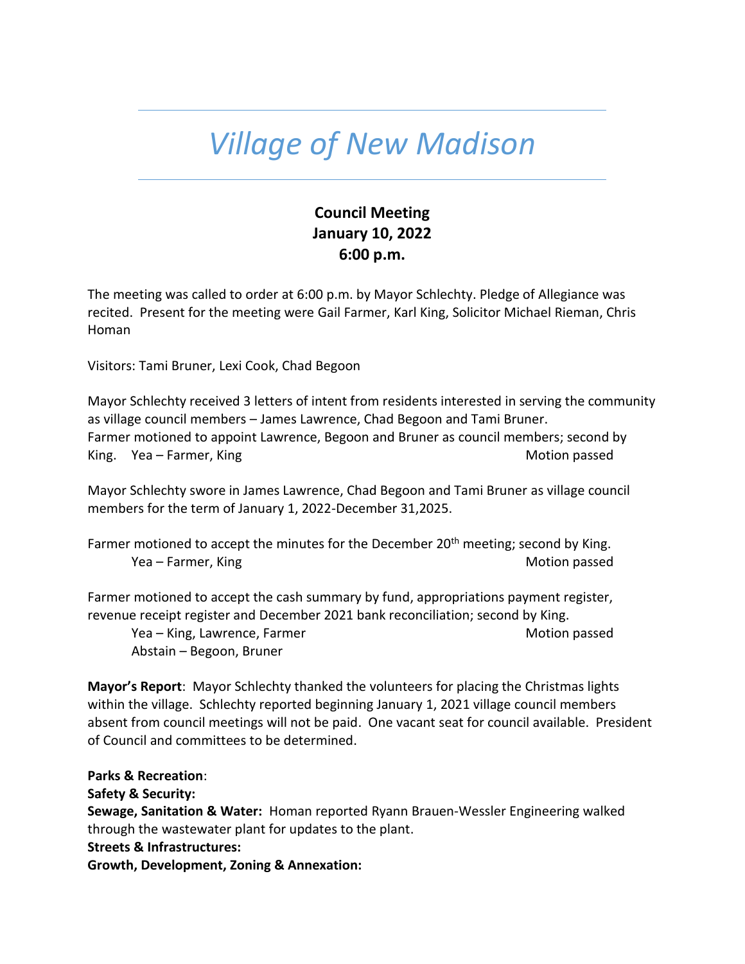## *Village of New Madison*

## **Council Meeting January 10, 2022 6:00 p.m.**

The meeting was called to order at 6:00 p.m. by Mayor Schlechty. Pledge of Allegiance was recited. Present for the meeting were Gail Farmer, Karl King, Solicitor Michael Rieman, Chris Homan

Visitors: Tami Bruner, Lexi Cook, Chad Begoon

Mayor Schlechty received 3 letters of intent from residents interested in serving the community as village council members – James Lawrence, Chad Begoon and Tami Bruner. Farmer motioned to appoint Lawrence, Begoon and Bruner as council members; second by King. Yea – Farmer, King Motion passed

Mayor Schlechty swore in James Lawrence, Chad Begoon and Tami Bruner as village council members for the term of January 1, 2022-December 31,2025.

Farmer motioned to accept the minutes for the December  $20<sup>th</sup>$  meeting; second by King. Yea – Farmer, King Motion passed Motion passed

Farmer motioned to accept the cash summary by fund, appropriations payment register, revenue receipt register and December 2021 bank reconciliation; second by King.

Yea – King, Lawrence, Farmer Motion passed Motion passed Abstain – Begoon, Bruner

**Mayor's Report**: Mayor Schlechty thanked the volunteers for placing the Christmas lights within the village. Schlechty reported beginning January 1, 2021 village council members absent from council meetings will not be paid. One vacant seat for council available. President of Council and committees to be determined.

**Parks & Recreation**: **Safety & Security: Sewage, Sanitation & Water:** Homan reported Ryann Brauen-Wessler Engineering walked through the wastewater plant for updates to the plant. **Streets & Infrastructures: Growth, Development, Zoning & Annexation:**